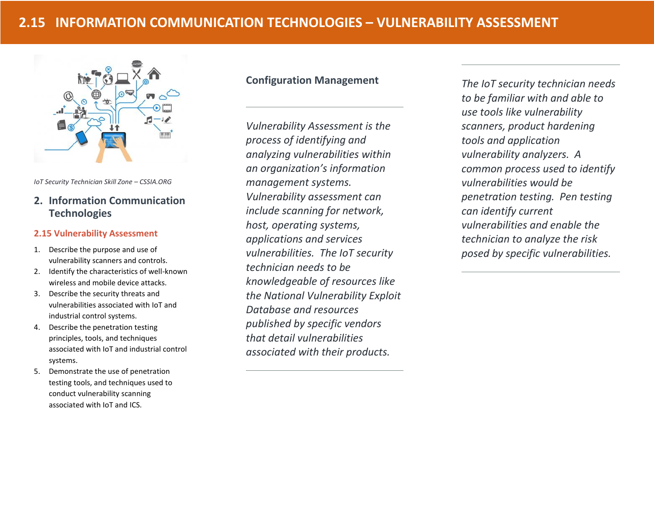

*IoT Security Technician Skill Zone – CSSIA.ORG*

# **2. Information Communication Technologies**

## **2.15 Vulnerability Assessment**

- 1. Describe the purpose and use of vulnerability scanners and controls.
- 2. Identify the characteristics of well-known wireless and mobile device attacks.
- 3. Describe the security threats and vulnerabilities associated with IoT and industrial control systems.
- 4. Describe the penetration testing principles, tools, and techniques associated with IoT and industrial control systems.
- 5. Demonstrate the use of penetration testing tools, and techniques used to conduct vulnerability scanning associated with IoT and ICS.

# **Configuration Management**

*Vulnerability Assessment is the process of identifying and analyzing vulnerabilities within an organization's information management systems. Vulnerability assessment can include scanning for network, host, operating systems, applications and services vulnerabilities. The IoT security technician needs to be knowledgeable of resources like the National Vulnerability Exploit Database and resources published by specific vendors that detail vulnerabilities associated with their products.* 

*The IoT security technician needs to be familiar with and able to use tools like vulnerability scanners, product hardening tools and application vulnerability analyzers. A common process used to identify vulnerabilities would be penetration testing. Pen testing can identify current vulnerabilities and enable the technician to analyze the risk posed by specific vulnerabilities.*